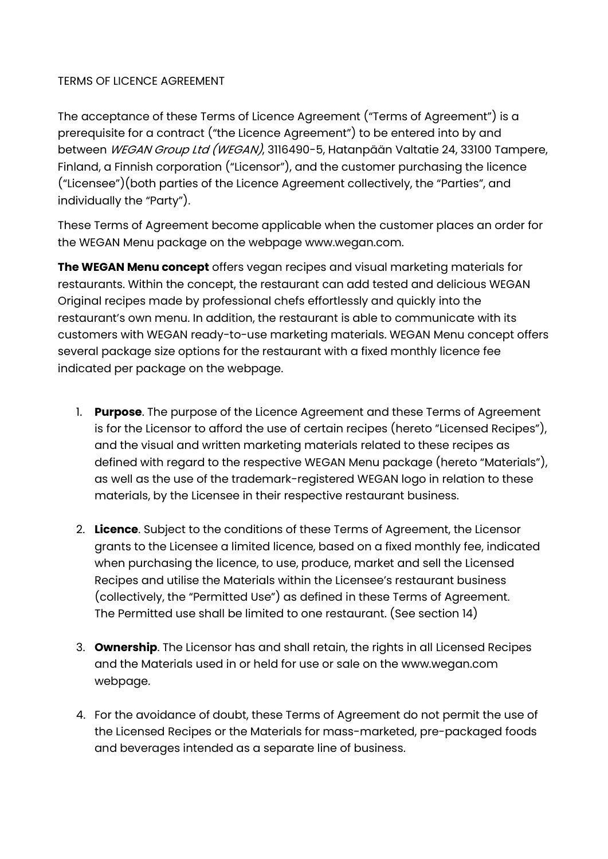## TERMS OF LICENCE AGREEMENT

The acceptance of these Terms of Licence Agreement ("Terms of Agreement") is a prerequisite for a contract ("the Licence Agreement") to be entered into by and between WEGAN Group Ltd (WEGAN), 3116490-5, Hatanpään Valtatie 24, 33100 Tampere, Finland, a Finnish corporation ("Licensor"), and the customer purchasing the licence ("Licensee")(both parties of the Licence Agreement collectively, the "Parties", and individually the "Party").

These Terms of Agreement become applicable when the customer places an order for the WEGAN Menu package on the webpage www.wegan.com.

The WEGAN Menu concept offers vegan recipes and visual marketing materials for restaurants. Within the concept, the restaurant can add tested and delicious WEGAN Original recipes made by professional chefs effortlessly and quickly into the restaurant's own menu. In addition, the restaurant is able to communicate with its customers with WEGAN ready-to-use marketing materials. WEGAN Menu concept offers several package size options for the restaurant with a fixed monthly licence fee indicated per package on the webpage.

- 1. Purpose. The purpose of the Licence Agreement and these Terms of Agreement is for the Licensor to afford the use of certain recipes (hereto "Licensed Recipes"), and the visual and written marketing materials related to these recipes as defined with regard to the respective WEGAN Menu package (hereto "Materials"), as well as the use of the trademark-registered WEGAN logo in relation to these materials, by the Licensee in their respective restaurant business.
- 2. Licence. Subject to the conditions of these Terms of Agreement, the Licensor grants to the Licensee a limited licence, based on a fixed monthly fee, indicated when purchasing the licence, to use, produce, market and sell the Licensed Recipes and utilise the Materials within the Licensee's restaurant business (collectively, the "Permitted Use") as defined in these Terms of Agreement. The Permitted use shall be limited to one restaurant. (See section 14)
- 3. Ownership. The Licensor has and shall retain, the rights in all Licensed Recipes and the Materials used in or held for use or sale on the www.wegan.com webpage.
- 4. For the avoidance of doubt, these Terms of Agreement do not permit the use of the Licensed Recipes or the Materials for mass-marketed, pre-packaged foods and beverages intended as a separate line of business.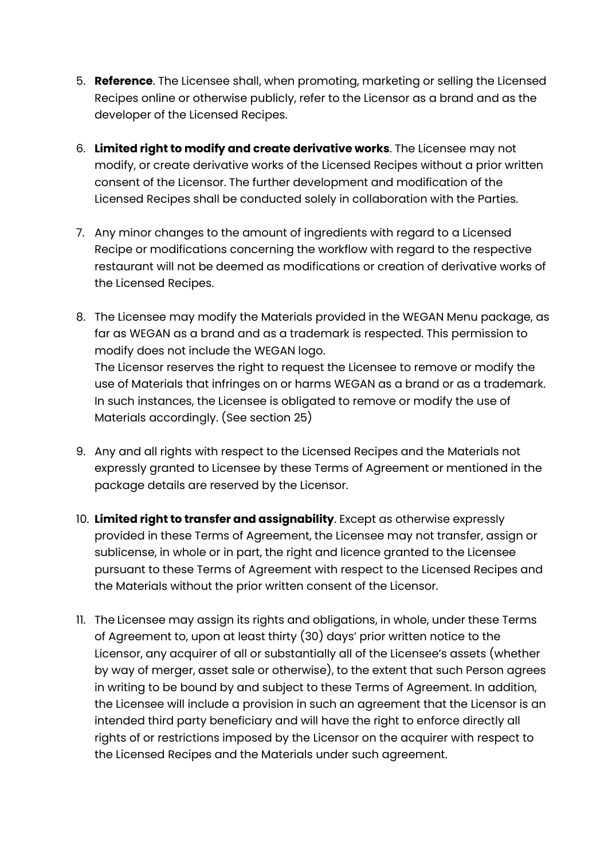- 5. Reference. The Licensee shall, when promoting, marketing or selling the Licensed Recipes online or otherwise publicly, refer to the Licensor as a brand and as the developer of the Licensed Recipes.
- 6. Limited right to modify and create derivative works. The Licensee may not modify, or create derivative works of the Licensed Recipes without a prior written consent of the Licensor. The further development and modification of the Licensed Recipes shall be conducted solely in collaboration with the Parties.
- 7. Any minor changes to the amount of ingredients with regard to a Licensed Recipe or modifications concerning the workflow with regard to the respective restaurant will not be deemed as modifications or creation of derivative works of the Licensed Recipes.
- 8. The Licensee may modify the Materials provided in the WEGAN Menu package, as far as WEGAN as a brand and as a trademark is respected. This permission to modify does not include the WEGAN logo. The Licensor reserves the right to request the Licensee to remove or modify the use of Materials that infringes on or harms WEGAN as a brand or as a trademark. In such instances, the Licensee is obligated to remove or modify the use of Materials accordingly. (See section 25)
- 9. Any and all rights with respect to the Licensed Recipes and the Materials not expressly granted to Licensee by these Terms of Agreement or mentioned in the package details are reserved by the Licensor.
- 10. Limited right to transfer and assignability. Except as otherwise expressly provided in these Terms of Agreement, the Licensee may not transfer, assign or sublicense, in whole or in part, the right and licence granted to the Licensee pursuant to these Terms of Agreement with respect to the Licensed Recipes and the Materials without the prior written consent of the Licensor.
- 11. The Licensee may assign its rights and obligations, in whole, under these Terms of Agreement to, upon at least thirty (30) days' prior written notice to the Licensor, any acquirer of all or substantially all of the Licensee's assets (whether by way of merger, asset sale or otherwise), to the extent that such Person agrees in writing to be bound by and subject to these Terms of Agreement. In addition, the Licensee will include a provision in such an agreement that the Licensor is an intended third party beneficiary and will have the right to enforce directly all rights of or restrictions imposed by the Licensor on the acquirer with respect to the Licensed Recipes and the Materials under such agreement.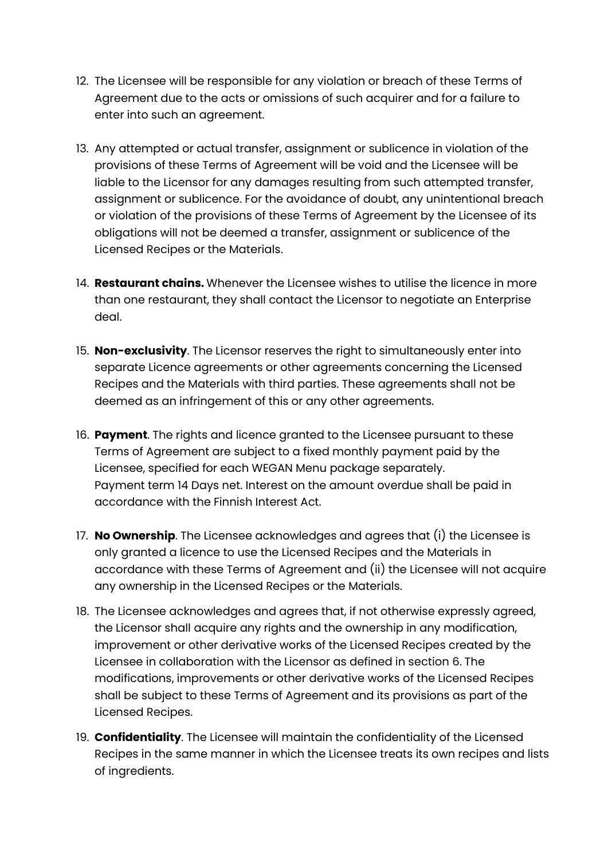- 12. The Licensee will be responsible for any violation or breach of these Terms of Agreement due to the acts or omissions of such acquirer and for a failure to enter into such an agreement.
- 13. Any attempted or actual transfer, assignment or sublicence in violation of the provisions of these Terms of Agreement will be void and the Licensee will be liable to the Licensor for any damages resulting from such attempted transfer, assignment or sublicence. For the avoidance of doubt, any unintentional breach or violation of the provisions of these Terms of Agreement by the Licensee of its obligations will not be deemed a transfer, assignment or sublicence of the Licensed Recipes or the Materials.
- 14. **Restaurant chains.** Whenever the Licensee wishes to utilise the licence in more than one restaurant, they shall contact the Licensor to negotiate an Enterprise deal.
- 15. Non-exclusivity. The Licensor reserves the right to simultaneously enter into separate Licence agreements or other agreements concerning the Licensed Recipes and the Materials with third parties. These agreements shall not be deemed as an infringement of this or any other agreements.
- 16. Payment. The rights and licence granted to the Licensee pursuant to these Terms of Agreement are subject to a fixed monthly payment paid by the Licensee, specified for each WEGAN Menu package separately. Payment term 14 Days net. Interest on the amount overdue shall be paid in accordance with the Finnish Interest Act.
- 17. No Ownership. The Licensee acknowledges and agrees that (i) the Licensee is only granted a licence to use the Licensed Recipes and the Materials in accordance with these Terms of Agreement and (ii) the Licensee will not acquire any ownership in the Licensed Recipes or the Materials.
- 18. The Licensee acknowledges and agrees that, if not otherwise expressly agreed, the Licensor shall acquire any rights and the ownership in any modification, improvement or other derivative works of the Licensed Recipes created by the Licensee in collaboration with the Licensor as defined in section 6. The modifications, improvements or other derivative works of the Licensed Recipes shall be subject to these Terms of Agreement and its provisions as part of the Licensed Recipes.
- 19. Confidentiality. The Licensee will maintain the confidentiality of the Licensed Recipes in the same manner in which the Licensee treats its own recipes and lists of ingredients.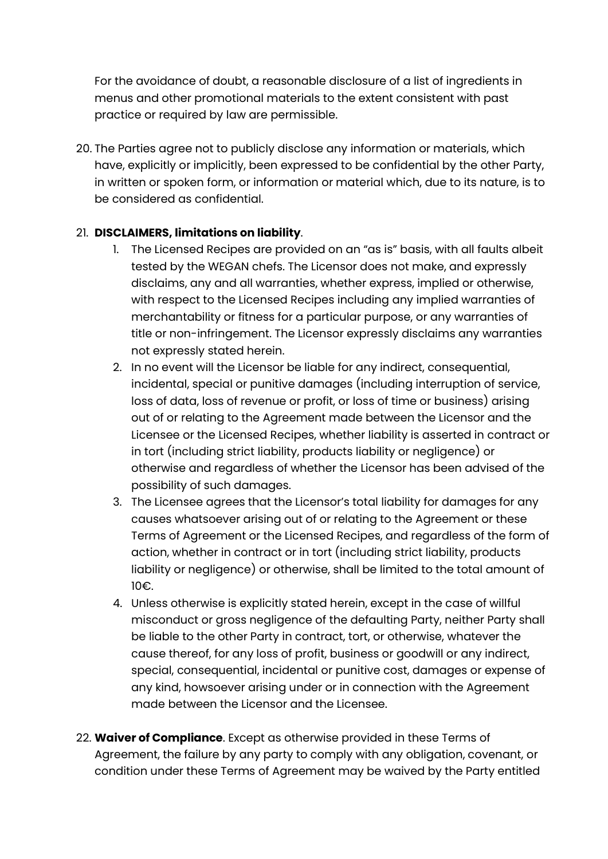For the avoidance of doubt, a reasonable disclosure of a list of ingredients in menus and other promotional materials to the extent consistent with past practice or required by law are permissible.

20. The Parties agree not to publicly disclose any information or materials, which have, explicitly or implicitly, been expressed to be confidential by the other Party, in written or spoken form, or information or material which, due to its nature, is to be considered as confidential.

## 21. DISCLAIMERS, limitations on liability.

- 1. The Licensed Recipes are provided on an "as is" basis, with all faults albeit tested by the WEGAN chefs. The Licensor does not make, and expressly disclaims, any and all warranties, whether express, implied or otherwise, with respect to the Licensed Recipes including any implied warranties of merchantability or fitness for a particular purpose, or any warranties of title or non-infringement. The Licensor expressly disclaims any warranties not expressly stated herein.
- 2. In no event will the Licensor be liable for any indirect, consequential, incidental, special or punitive damages (including interruption of service, loss of data, loss of revenue or profit, or loss of time or business) arising out of or relating to the Agreement made between the Licensor and the Licensee or the Licensed Recipes, whether liability is asserted in contract or in tort (including strict liability, products liability or negligence) or otherwise and regardless of whether the Licensor has been advised of the possibility of such damages.
- 3. The Licensee agrees that the Licensor's total liability for damages for any causes whatsoever arising out of or relating to the Agreement or these Terms of Agreement or the Licensed Recipes, and regardless of the form of action, whether in contract or in tort (including strict liability, products liability or negligence) or otherwise, shall be limited to the total amount of 10€.
- 4. Unless otherwise is explicitly stated herein, except in the case of willful misconduct or gross negligence of the defaulting Party, neither Party shall be liable to the other Party in contract, tort, or otherwise, whatever the cause thereof, for any loss of profit, business or goodwill or any indirect, special, consequential, incidental or punitive cost, damages or expense of any kind, howsoever arising under or in connection with the Agreement made between the Licensor and the Licensee.
- 22. Waiver of Compliance. Except as otherwise provided in these Terms of Agreement, the failure by any party to comply with any obligation, covenant, or condition under these Terms of Agreement may be waived by the Party entitled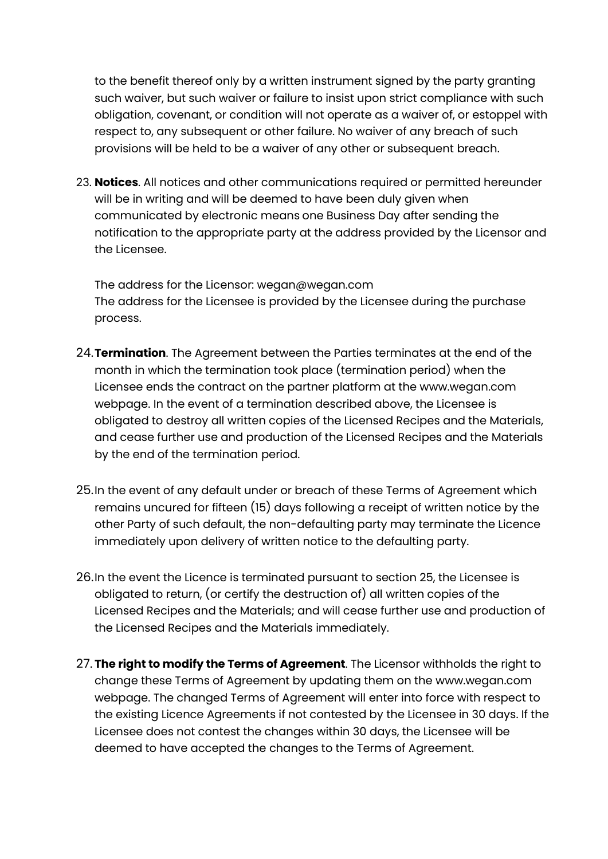to the benefit thereof only by a written instrument signed by the party granting such waiver, but such waiver or failure to insist upon strict compliance with such obligation, covenant, or condition will not operate as a waiver of, or estoppel with respect to, any subsequent or other failure. No waiver of any breach of such provisions will be held to be a waiver of any other or subsequent breach.

23. Notices. All notices and other communications required or permitted hereunder will be in writing and will be deemed to have been duly given when communicated by electronic means one Business Day after sending the notification to the appropriate party at the address provided by the Licensor and the Licensee.

The address for the Licensor: wegan@wegan.com The address for the Licensee is provided by the Licensee during the purchase process.

- 24. Termination. The Agreement between the Parties terminates at the end of the month in which the termination took place (termination period) when the Licensee ends the contract on the partner platform at the www.wegan.com webpage. In the event of a termination described above, the Licensee is obligated to destroy all written copies of the Licensed Recipes and the Materials, and cease further use and production of the Licensed Recipes and the Materials by the end of the termination period.
- 25.In the event of any default under or breach of these Terms of Agreement which remains uncured for fifteen (15) days following a receipt of written notice by the other Party of such default, the non-defaulting party may terminate the Licence immediately upon delivery of written notice to the defaulting party.
- 26.In the event the Licence is terminated pursuant to section 25, the Licensee is obligated to return, (or certify the destruction of) all written copies of the Licensed Recipes and the Materials; and will cease further use and production of the Licensed Recipes and the Materials immediately.
- 27. The right to modify the Terms of Agreement. The Licensor withholds the right to change these Terms of Agreement by updating them on the www.wegan.com webpage. The changed Terms of Agreement will enter into force with respect to the existing Licence Agreements if not contested by the Licensee in 30 days. If the Licensee does not contest the changes within 30 days, the Licensee will be deemed to have accepted the changes to the Terms of Agreement.